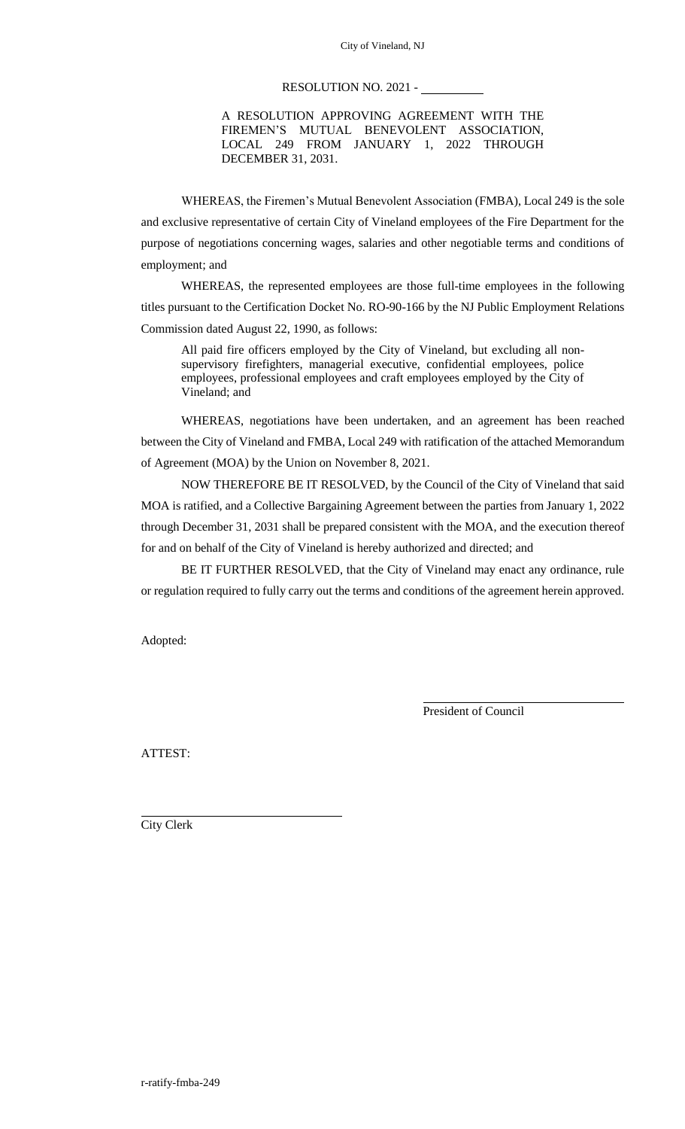# RESOLUTION NO. 2021 -

A RESOLUTION APPROVING AGREEMENT WITH THE FIREMEN'S MUTUAL BENEVOLENT ASSOCIATION, LOCAL 249 FROM JANUARY 1, 2022 THROUGH DECEMBER 31, 2031.

WHEREAS, the Firemen's Mutual Benevolent Association (FMBA), Local 249 is the sole and exclusive representative of certain City of Vineland employees of the Fire Department for the purpose of negotiations concerning wages, salaries and other negotiable terms and conditions of employment; and

WHEREAS, the represented employees are those full-time employees in the following titles pursuant to the Certification Docket No. RO-90-166 by the NJ Public Employment Relations Commission dated August 22, 1990, as follows:

All paid fire officers employed by the City of Vineland, but excluding all nonsupervisory firefighters, managerial executive, confidential employees, police employees, professional employees and craft employees employed by the City of Vineland; and

WHEREAS, negotiations have been undertaken, and an agreement has been reached between the City of Vineland and FMBA, Local 249 with ratification of the attached Memorandum of Agreement (MOA) by the Union on November 8, 2021.

NOW THEREFORE BE IT RESOLVED, by the Council of the City of Vineland that said MOA is ratified, and a Collective Bargaining Agreement between the parties from January 1, 2022 through December 31, 2031 shall be prepared consistent with the MOA, and the execution thereof for and on behalf of the City of Vineland is hereby authorized and directed; and

BE IT FURTHER RESOLVED, that the City of Vineland may enact any ordinance, rule or regulation required to fully carry out the terms and conditions of the agreement herein approved.

Adopted:

President of Council

ATTEST:

City Clerk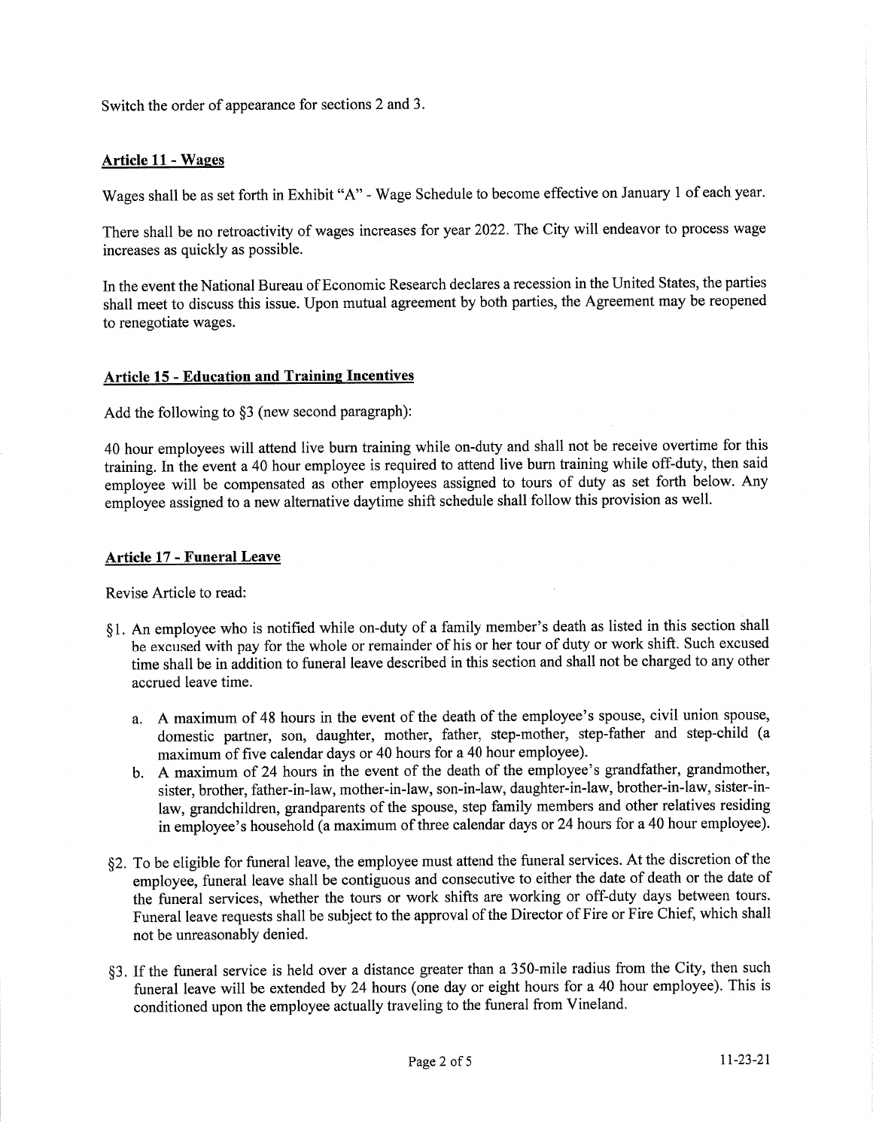Switch the order of appearance for sections 2 and 3.

# **Article 11 - Wages**

Wages shall be as set forth in Exhibit "A" - Wage Schedule to become effective on January 1 of each year.

There shall be no retroactivity of wages increases for year 2022. The City will endeavor to process wage increases as quickly as possible.

In the event the National Bureau of Economic Research declares a recession in the United States, the parties shall meet to discuss this issue. Upon mutual agreement by both parties, the Agreement may be reopened to renegotiate wages.

## **Article 15 - Education and Training Incentives**

Add the following to §3 (new second paragraph):

40 hour employees will attend live burn training while on-duty and shall not be receive overtime for this training. In the event a 40 hour employee is required to attend live burn training while off-duty, then said employee will be compensated as other employees assigned to tours of duty as set forth below. Any employee assigned to a new alternative daytime shift schedule shall follow this provision as well.

#### **Article 17 - Funeral Leave**

Revise Article to read:

- §1. An employee who is notified while on-duty of a family member's death as listed in this section shall be excused with pay for the whole or remainder of his or her tour of duty or work shift. Such excused time shall be in addition to funeral leave described in this section and shall not be charged to any other accrued leave time.
	- a. A maximum of 48 hours in the event of the death of the employee's spouse, civil union spouse, domestic partner, son, daughter, mother, father, step-mother, step-father and step-child (a maximum of five calendar days or 40 hours for a 40 hour employee).
	- b. A maximum of 24 hours in the event of the death of the employee's grandfather, grandmother, sister, brother, father-in-law, mother-in-law, son-in-law, daughter-in-law, brother-in-law, sister-inlaw, grandchildren, grandparents of the spouse, step family members and other relatives residing in employee's household (a maximum of three calendar days or 24 hours for a 40 hour employee).
- §2. To be eligible for funeral leave, the employee must attend the funeral services. At the discretion of the employee, funeral leave shall be contiguous and consecutive to either the date of death or the date of the funeral services, whether the tours or work shifts are working or off-duty days between tours. Funeral leave requests shall be subject to the approval of the Director of Fire or Fire Chief, which shall not be unreasonably denied.
- §3. If the funeral service is held over a distance greater than a 350-mile radius from the City, then such funeral leave will be extended by 24 hours (one day or eight hours for a 40 hour employee). This is conditioned upon the employee actually traveling to the funeral from Vineland.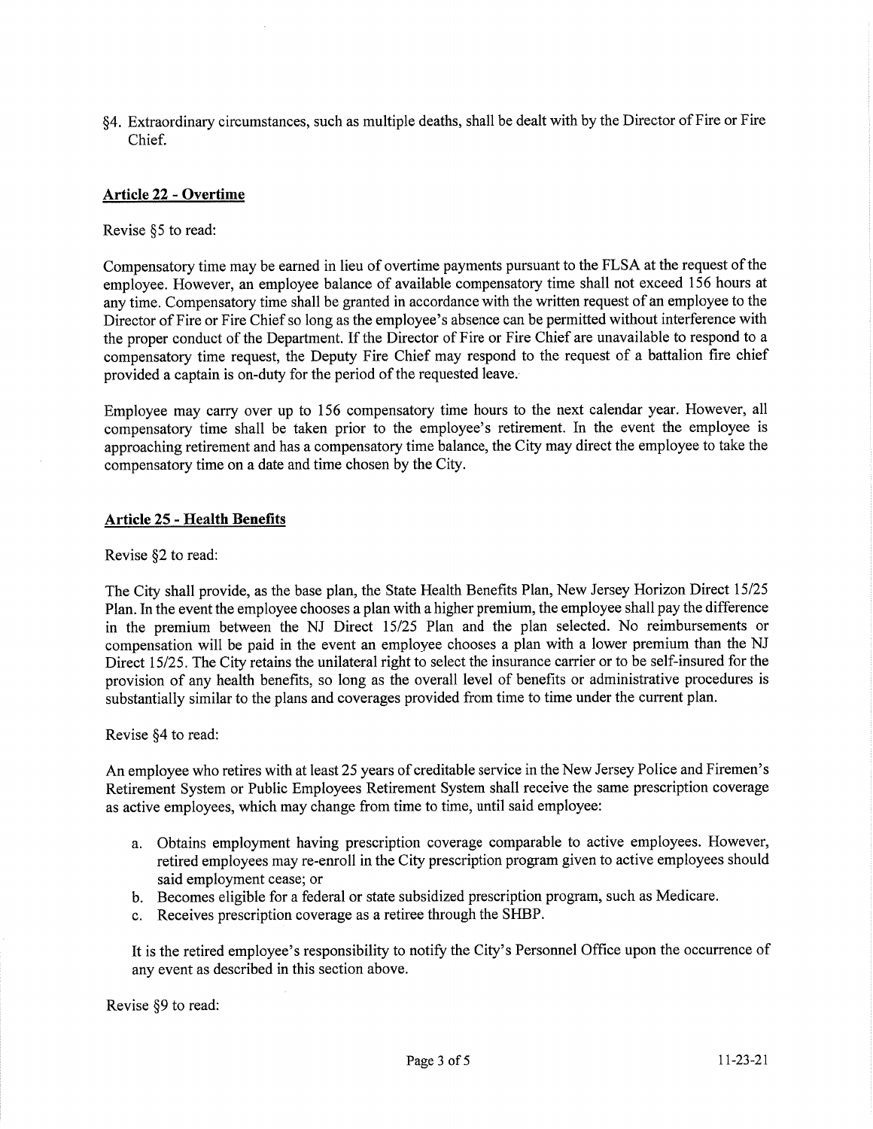§4. Extraordinary circumstances, such as multiple deaths, shall be dealt with by the Director of Fire or Fire Chief.

# **Article 22 - Overtime**

Revise §5 to read:

Compensatory time may be earned in lieu of overtime payments pursuant to the FLSA at the request of the employee. However, an employee balance of available compensatory time shall not exceed 156 hours at any time. Compensatory time shall be granted in accordance with the written request of an employee to the Director of Fire or Fire Chief so long as the employee's absence can be permitted without interference with the proper conduct of the Department. If the Director of Fire or Fire Chief are unavailable to respond to a compensatory time request, the Deputy Fire Chief may respond to the request of a battalion fire chief provided a captain is on-duty for the period of the requested leave.

Employee may carry over up to 156 compensatory time hours to the next calendar year. However, all compensatory time shall be taken prior to the employee's retirement. In the event the employee is approaching retirement and has a compensatory time balance, the City may direct the employee to take the compensatory time on a date and time chosen by the City.

#### **Article 25 - Health Benefits**

Revise §2 to read:

The City shall provide, as the base plan, the State Health Benefits Plan, New Jersey Horizon Direct 15/25 Plan. In the event the employee chooses a plan with a higher premium, the employee shall pay the difference in the premium between the NJ Direct 15/25 Plan and the plan selected. No reimbursements or compensation will be paid in the event an employee chooses a plan with a lower premium than the NJ Direct 15/25. The City retains the unilateral right to select the insurance carrier or to be self-insured for the provision of any health benefits, so long as the overall level of benefits or administrative procedures is substantially similar to the plans and coverages provided from time to time under the current plan.

Revise §4 to read:

An employee who retires with at least 25 years of creditable service in the New Jersey Police and Firemen's Retirement System or Public Employees Retirement System shall receive the same prescription coverage as active employees, which may change from time to time, until said employee:

- a. Obtains employment having prescription coverage comparable to active employees. However, retired employees may re-enroll in the City prescription program given to active employees should said employment cease; or
- b. Becomes eligible for a federal or state subsidized prescription program, such as Medicare.
- c. Receives prescription coverage as a retiree through the SHBP.

It is the retired employee's responsibility to notify the City's Personnel Office upon the occurrence of any event as described in this section above.

Revise §9 to read: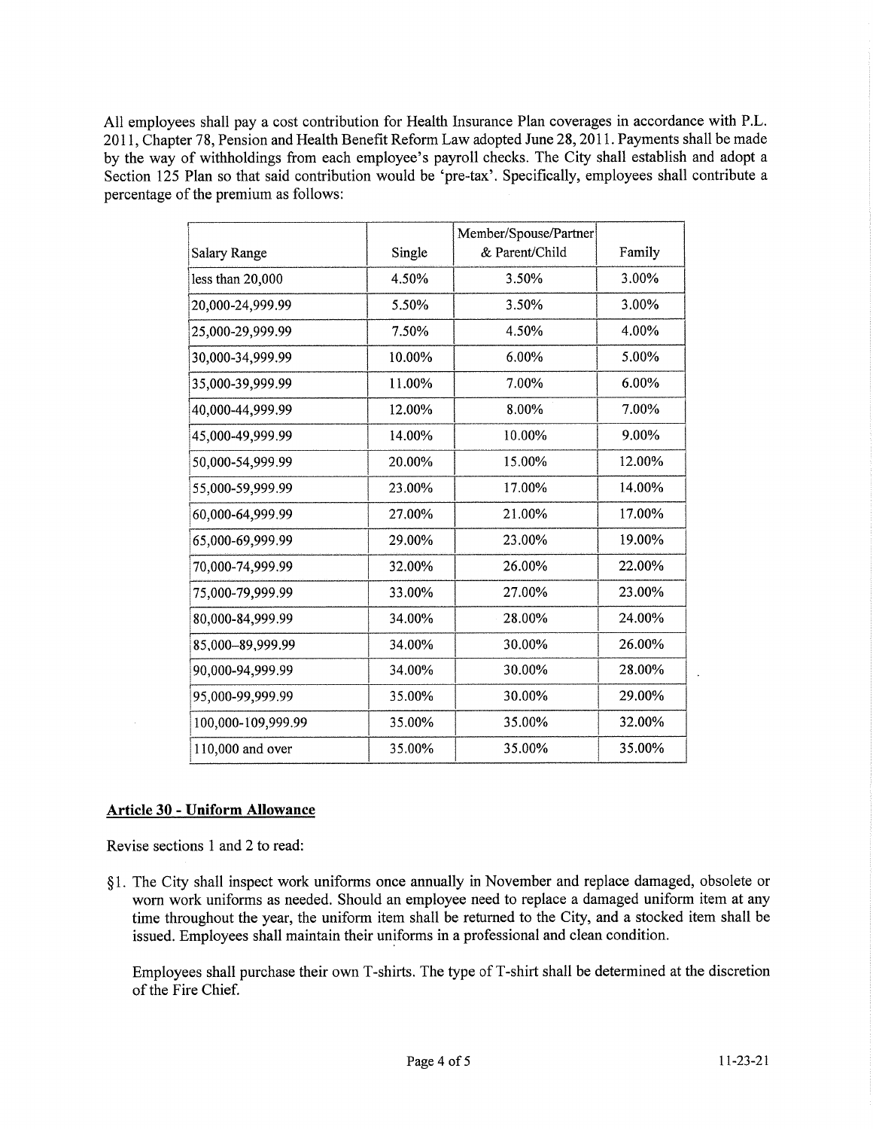All employees shall pay a cost contribution for Health Insurance Plan coverages in accordance with P.L. 2011, Chapter 78, Pension and Health Benefit Reform Law adopted June 28, 2011. Payments shall be made by the way of withholdings from each employee's payroll checks. The City shall establish and adopt a Section 125 Plan so that said contribution would be 'pre-tax'. Specifically, employees shall contribute a percentage of the premium as follows:

|                    |        | Member/Spouse/Partner |        |
|--------------------|--------|-----------------------|--------|
| Salary Range       | Single | & Parent/Child        | Family |
| less than 20,000   | 4.50%  | 3.50%                 | 3.00%  |
| 20,000-24,999.99   | 5.50%  | 3.50%                 | 3.00%  |
| 25,000-29,999.99   | 7.50%  | 4.50%                 | 4.00%  |
| 30,000-34,999.99   | 10.00% | 6.00%                 | 5.00%  |
| 35,000-39,999.99   | 11.00% | 7.00%                 | 6.00%  |
| 40,000-44,999.99   | 12.00% | 8.00%                 | 7.00%  |
| 45,000-49,999.99   | 14.00% | 10.00%                | 9.00%  |
| 50,000-54,999.99   | 20.00% | 15.00%                | 12.00% |
| 55,000-59,999.99   | 23.00% | 17.00%                | 14.00% |
| 60,000-64,999.99   | 27.00% | 21.00%                | 17.00% |
| 65,000-69,999.99   | 29.00% | 23.00%                | 19.00% |
| 70,000-74,999.99   | 32.00% | 26.00%                | 22.00% |
| 75,000-79,999.99   | 33.00% | 27.00%                | 23.00% |
| 80,000-84,999.99   | 34.00% | 28.00%                | 24.00% |
| 85,000-89,999.99   | 34.00% | 30.00%                | 26.00% |
| 90,000-94,999.99   | 34.00% | 30.00%                | 28.00% |
| 95,000-99,999.99   | 35.00% | 30.00%                | 29.00% |
| 100,000-109,999.99 | 35.00% | 35.00%                | 32.00% |
| 110,000 and over   | 35.00% | 35.00%                | 35.00% |

# **Article 30 - Uniform Allowance**

Revise sections 1 and 2 to read:

§1. The City shall inspect work uniforms once annually in November and replace damaged, obsolete or worn work uniforms as needed. Should an employee need to replace a damaged uniform item at any time throughout the year, the uniform item shall be returned to the City, and a stocked item shall be issued. Employees shall maintain their uniforms in a professional and clean condition.

Employees shall purchase their own T-shirts. The type of T-shirt shall be determined at the discretion of the Fire Chief.